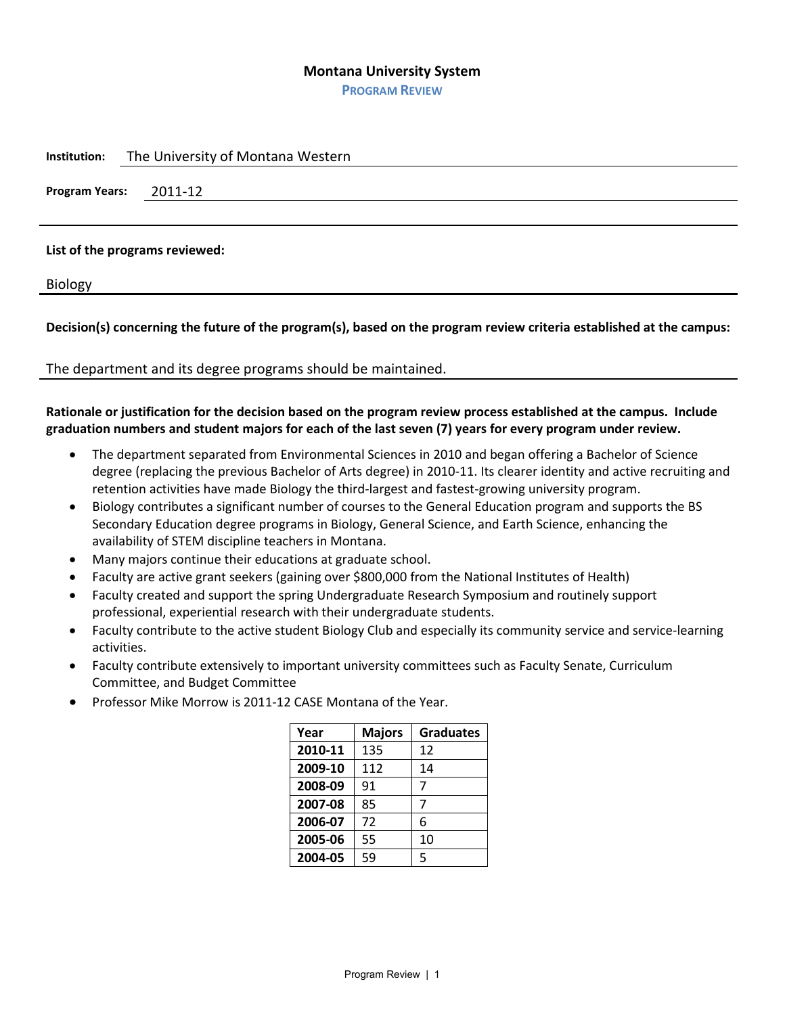### **Montana University System**

**PROGRAM REVIEW**

| Institution: | The University of Montana Western |  |  |
|--------------|-----------------------------------|--|--|
|              | Program Years: 2011-12            |  |  |
|              |                                   |  |  |
|              |                                   |  |  |

# **List of the programs reviewed:**

Biology

**Decision(s) concerning the future of the program(s), based on the program review criteria established at the campus:**

The department and its degree programs should be maintained.

# **Rationale or justification for the decision based on the program review process established at the campus. Include graduation numbers and student majors for each of the last seven (7) years for every program under review.**

- The department separated from Environmental Sciences in 2010 and began offering a Bachelor of Science degree (replacing the previous Bachelor of Arts degree) in 2010-11. Its clearer identity and active recruiting and retention activities have made Biology the third-largest and fastest-growing university program.
- Biology contributes a significant number of courses to the General Education program and supports the BS Secondary Education degree programs in Biology, General Science, and Earth Science, enhancing the availability of STEM discipline teachers in Montana.
- Many majors continue their educations at graduate school.
- Faculty are active grant seekers (gaining over \$800,000 from the National Institutes of Health)
- Faculty created and support the spring Undergraduate Research Symposium and routinely support professional, experiential research with their undergraduate students.
- Faculty contribute to the active student Biology Club and especially its community service and service-learning activities.
- Faculty contribute extensively to important university committees such as Faculty Senate, Curriculum Committee, and Budget Committee
- Professor Mike Morrow is 2011-12 CASE Montana of the Year.

| Year    | <b>Majors</b> | <b>Graduates</b> |
|---------|---------------|------------------|
| 2010-11 | 135           | 12               |
| 2009-10 | 112           | 14               |
| 2008-09 | 91            | 7                |
| 2007-08 | 85            | 7                |
| 2006-07 | 72            | 6                |
| 2005-06 | 55            | 10               |
| 2004-05 | 59            | 5                |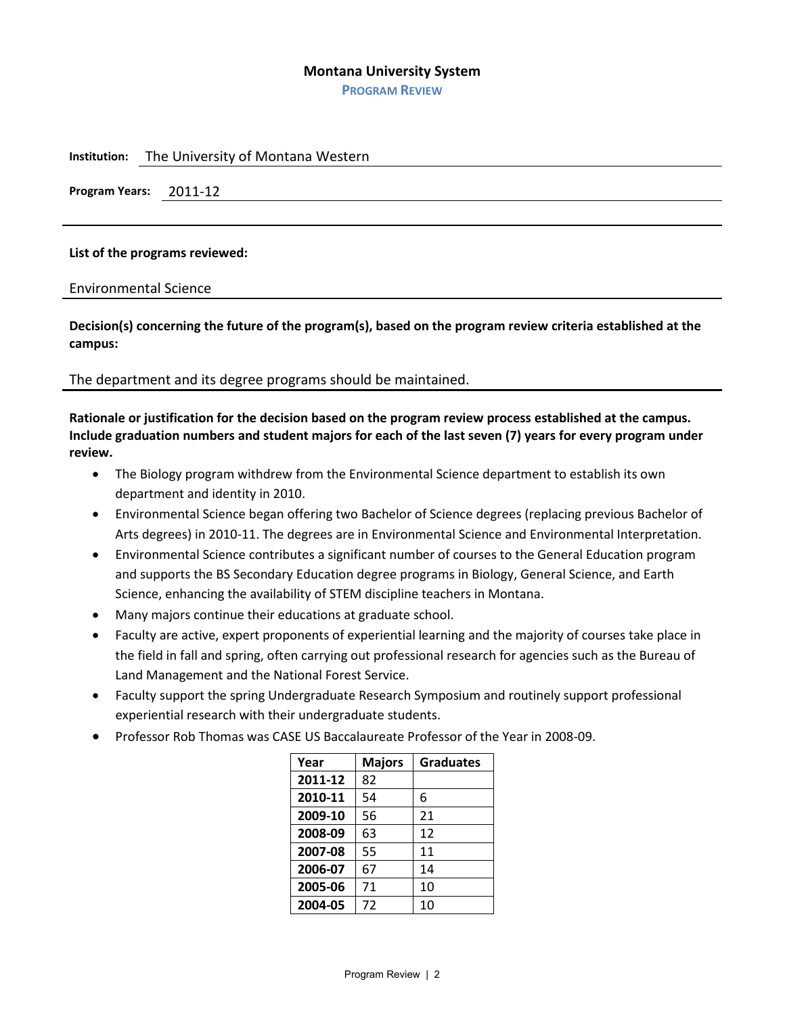### **Montana University System**

**PROGRAM REVIEW**

**Institution:** The University of Montana Western

**Program Years:** 2011-12

### **List of the programs reviewed:**

Environmental Science

**Decision(s) concerning the future of the program(s), based on the program review criteria established at the campus:**

The department and its degree programs should be maintained.

**Rationale or justification for the decision based on the program review process established at the campus. Include graduation numbers and student majors for each of the last seven (7) years for every program under review.**

- The Biology program withdrew from the Environmental Science department to establish its own department and identity in 2010.
- Environmental Science began offering two Bachelor of Science degrees (replacing previous Bachelor of Arts degrees) in 2010-11. The degrees are in Environmental Science and Environmental Interpretation.
- Environmental Science contributes a significant number of courses to the General Education program and supports the BS Secondary Education degree programs in Biology, General Science, and Earth Science, enhancing the availability of STEM discipline teachers in Montana.
- Many majors continue their educations at graduate school.
- Faculty are active, expert proponents of experiential learning and the majority of courses take place in the field in fall and spring, often carrying out professional research for agencies such as the Bureau of Land Management and the National Forest Service.
- Faculty support the spring Undergraduate Research Symposium and routinely support professional experiential research with their undergraduate students.
- Professor Rob Thomas was CASE US Baccalaureate Professor of the Year in 2008-09.

| Year    | <b>Majors</b> | <b>Graduates</b> |
|---------|---------------|------------------|
| 2011-12 | 82            |                  |
| 2010-11 | 54            | 6                |
| 2009-10 | 56            | 21               |
| 2008-09 | 63            | 12               |
| 2007-08 | 55            | 11               |
| 2006-07 | 67            | 14               |
| 2005-06 | 71            | 10               |
| 2004-05 | 72            | 10               |